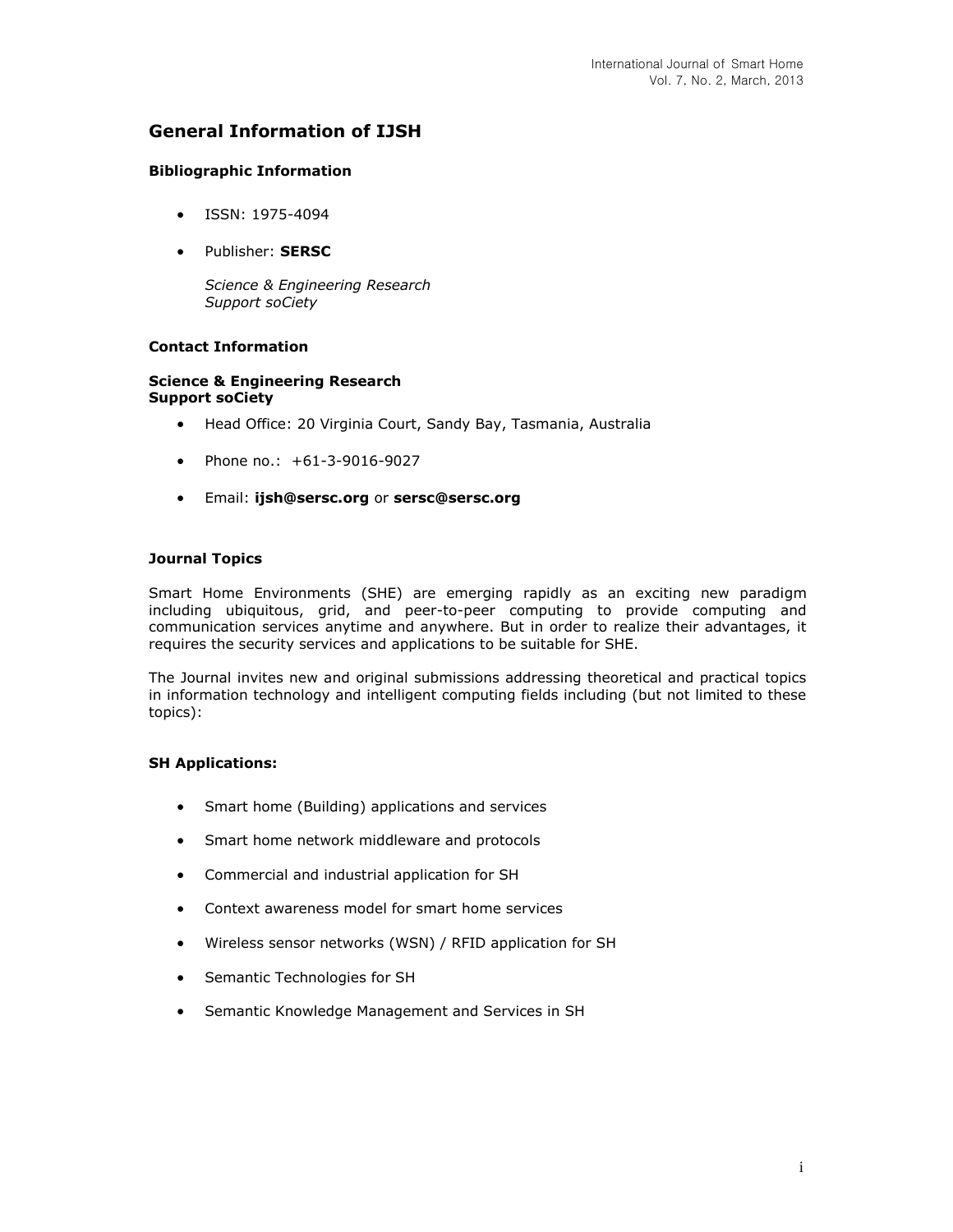# **General Information of IJSH**

## **Bibliographic Information**

- ISSN: 1975-4094
- Publisher: **SERSC**

*Science & Engineering Research Support soCiety*

# **Contact Information**

#### **Science & Engineering Research Support soCiety**

- Head Office: 20 Virginia Court, Sandy Bay, Tasmania, Australia
- Phone no.: +61-3-9016-9027
- Email: **[ijsh@sersc.org](mailto:ijsh@sersc.org)** or **[sersc@sersc.org](mailto:sersc@sersc.org)**

#### **Journal Topics**

Smart Home Environments (SHE) are emerging rapidly as an exciting new paradigm including ubiquitous, grid, and peer-to-peer computing to provide computing and communication services anytime and anywhere. But in order to realize their advantages, it requires the security services and applications to be suitable for SHE.

The Journal invites new and original submissions addressing theoretical and practical topics in information technology and intelligent computing fields including (but not limited to these topics):

#### **SH Applications:**

- Smart home (Building) applications and services
- Smart home network middleware and protocols
- Commercial and industrial application for SH
- Context awareness model for smart home services
- Wireless sensor networks (WSN) / RFID application for SH
- Semantic Technologies for SH
- Semantic Knowledge Management and Services in SH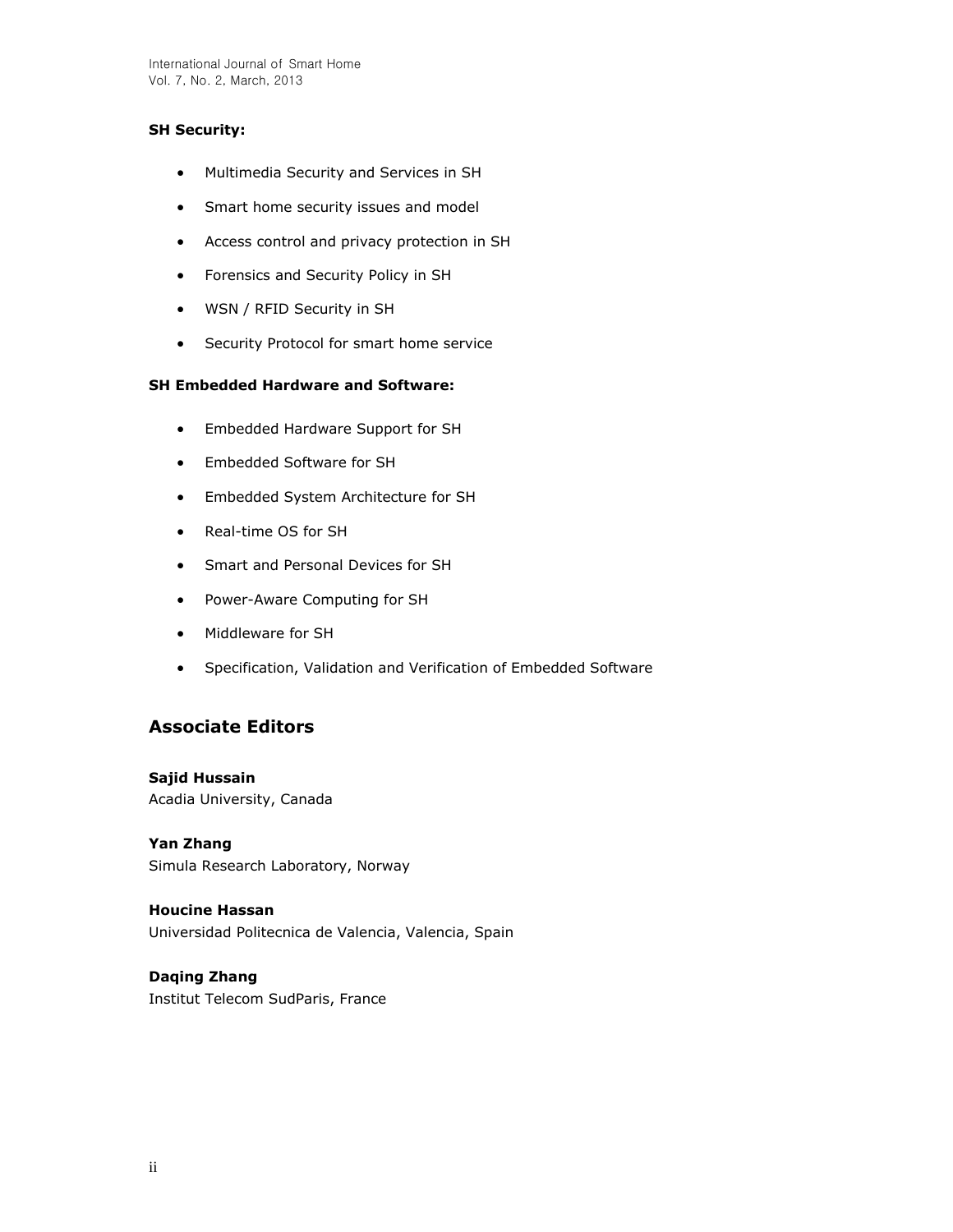# **SH Security:**

- Multimedia Security and Services in SH
- Smart home security issues and model
- Access control and privacy protection in SH
- Forensics and Security Policy in SH
- WSN / RFID Security in SH
- **•** Security Protocol for smart home service

# **SH Embedded Hardware and Software:**

- Embedded Hardware Support for SH
- Embedded Software for SH
- Embedded System Architecture for SH
- Real-time OS for SH
- Smart and Personal Devices for SH
- Power-Aware Computing for SH
- Middleware for SH
- Specification, Validation and Verification of Embedded Software

# **Associate Editors**

**Sajid Hussain** Acadia University, Canada

**Yan Zhang**  Simula Research Laboratory, Norway

**Houcine Hassan**  Universidad Politecnica de Valencia, Valencia, Spain

# **Daqing Zhang**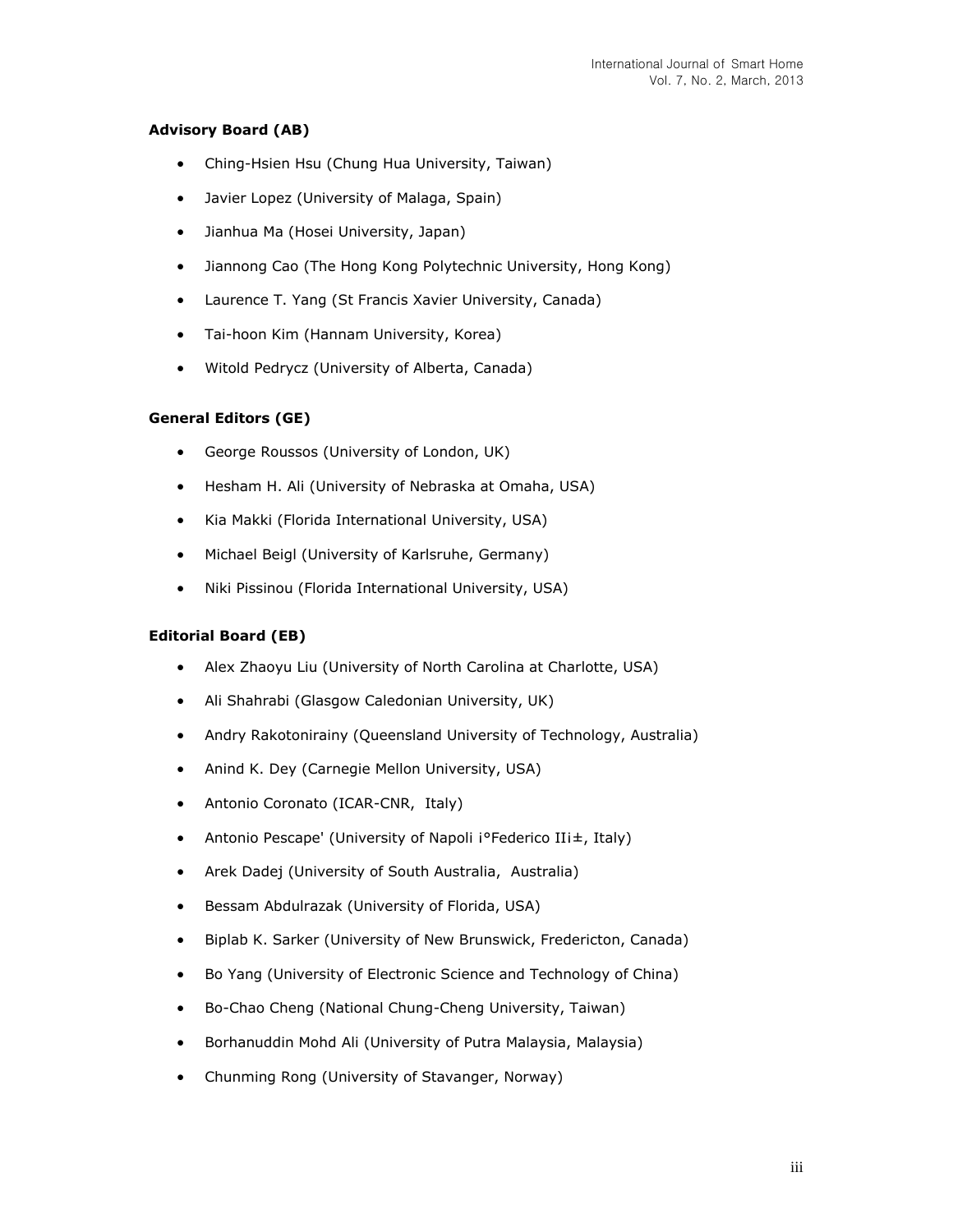# **Advisory Board (AB)**

- Ching-Hsien Hsu (Chung Hua University, Taiwan)
- Javier Lopez (University of Malaga, Spain)
- Jianhua Ma (Hosei University, Japan)
- Jiannong Cao (The Hong Kong Polytechnic University, Hong Kong)
- Laurence T. Yang (St Francis Xavier University, Canada)
- Tai-hoon Kim (Hannam University, Korea)
- Witold Pedrycz (University of Alberta, Canada)

# **General Editors (GE)**

- George Roussos (University of London, UK)
- Hesham H. Ali (University of Nebraska at Omaha, USA)
- Kia Makki (Florida International University, USA)
- Michael Beigl (University of Karlsruhe, Germany)
- Niki Pissinou (Florida International University, USA)

#### **Editorial Board (EB)**

- Alex Zhaoyu Liu (University of North Carolina at Charlotte, USA)
- Ali Shahrabi (Glasgow Caledonian University, UK)
- Andry Rakotonirainy (Queensland University of Technology, Australia)
- Anind K. Dey (Carnegie Mellon University, USA)
- Antonio Coronato (ICAR-CNR, Italy)
- Antonio Pescape' (University of Napoli i°Federico IIi±, Italy)
- Arek Dadej (University of South Australia, Australia)
- Bessam Abdulrazak (University of Florida, USA)
- Biplab K. Sarker (University of New Brunswick, Fredericton, Canada)
- Bo Yang (University of Electronic Science and Technology of China)
- Bo-Chao Cheng (National Chung-Cheng University, Taiwan)
- Borhanuddin Mohd Ali (University of Putra Malaysia, Malaysia)
- Chunming Rong (University of Stavanger, Norway)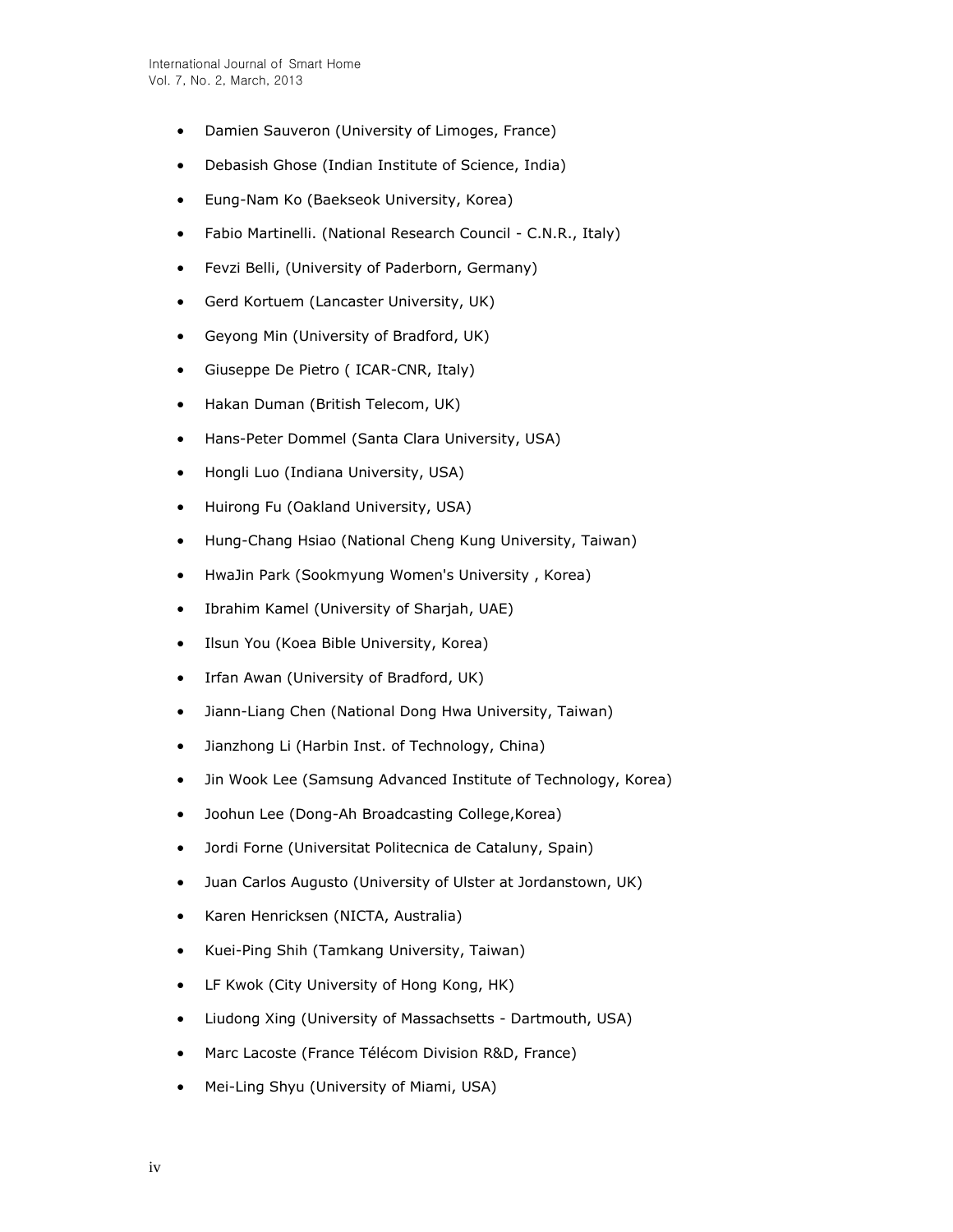- Damien Sauveron (University of Limoges, France)
- Debasish Ghose (Indian Institute of Science, India)
- Eung-Nam Ko (Baekseok University, Korea)
- Fabio Martinelli. (National Research Council C.N.R., Italy)
- Fevzi Belli, (University of Paderborn, Germany)
- Gerd Kortuem (Lancaster University, UK)
- Geyong Min (University of Bradford, UK)
- Giuseppe De Pietro ( ICAR-CNR, Italy)
- Hakan Duman (British Telecom, UK)
- Hans-Peter Dommel (Santa Clara University, USA)
- Hongli Luo (Indiana University, USA)
- Huirong Fu (Oakland University, USA)
- Hung-Chang Hsiao (National Cheng Kung University, Taiwan)
- HwaJin Park (Sookmyung Women's University , Korea)
- Ibrahim Kamel (University of Sharjah, UAE)
- Ilsun You (Koea Bible University, Korea)
- Irfan Awan (University of Bradford, UK)
- Jiann-Liang Chen (National Dong Hwa University, Taiwan)
- Jianzhong Li (Harbin Inst. of Technology, China)
- Jin Wook Lee (Samsung Advanced Institute of Technology, Korea)
- Joohun Lee (Dong-Ah Broadcasting College,Korea)
- Jordi Forne (Universitat Politecnica de Cataluny, Spain)
- Juan Carlos Augusto (University of Ulster at Jordanstown, UK)
- Karen Henricksen (NICTA, Australia)
- Kuei-Ping Shih (Tamkang University, Taiwan)
- LF Kwok (City University of Hong Kong, HK)
- Liudong Xing (University of Massachsetts Dartmouth, USA)
- Marc Lacoste (France Télécom Division R&D, France)
- Mei-Ling Shyu (University of Miami, USA)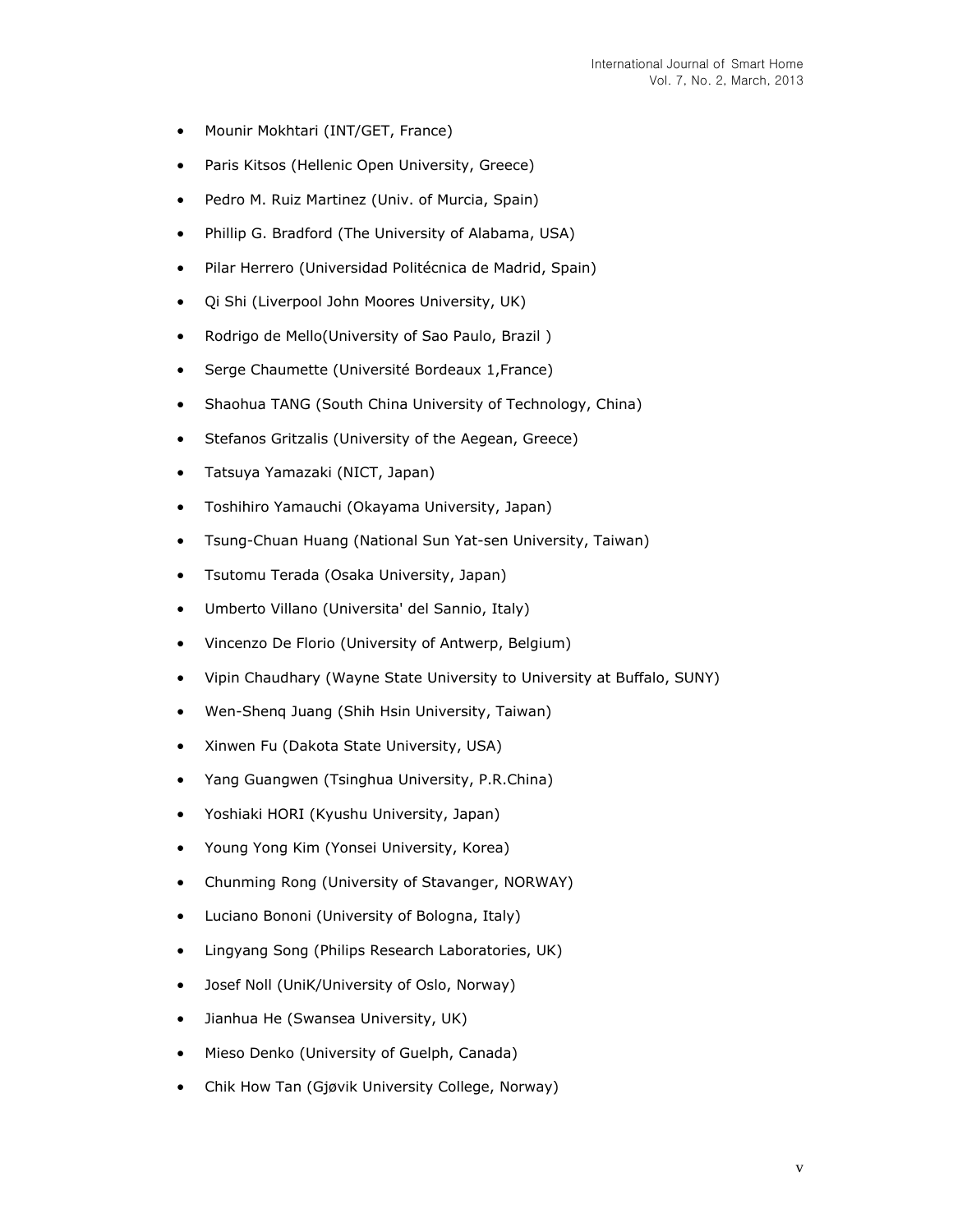- Mounir Mokhtari (INT/GET, France)
- Paris Kitsos (Hellenic Open University, Greece)
- Pedro M. Ruiz Martinez (Univ. of Murcia, Spain)
- Phillip G. Bradford (The University of Alabama, USA)
- Pilar Herrero (Universidad Politécnica de Madrid, Spain)
- Qi Shi (Liverpool John Moores University, UK)
- Rodrigo de Mello(University of Sao Paulo, Brazil)
- Serge Chaumette (Université Bordeaux 1,France)
- Shaohua TANG (South China University of Technology, China)
- Stefanos Gritzalis (University of the Aegean, Greece)
- Tatsuya Yamazaki (NICT, Japan)
- Toshihiro Yamauchi (Okayama University, Japan)
- Tsung-Chuan Huang (National Sun Yat-sen University, Taiwan)
- Tsutomu Terada (Osaka University, Japan)
- Umberto Villano (Universita' del Sannio, Italy)
- Vincenzo De Florio (University of Antwerp, Belgium)
- Vipin Chaudhary (Wayne State University to University at Buffalo, SUNY)
- Wen-Shenq Juang (Shih Hsin University, Taiwan)
- Xinwen Fu (Dakota State University, USA)
- Yang Guangwen (Tsinghua University, P.R.China)
- Yoshiaki HORI (Kyushu University, Japan)
- Young Yong Kim (Yonsei University, Korea)
- Chunming Rong (University of Stavanger, NORWAY)
- Luciano Bononi (University of Bologna, Italy)
- Lingyang Song (Philips Research Laboratories, UK)
- Josef Noll (UniK/University of Oslo, Norway)
- Jianhua He (Swansea University, UK)
- Mieso Denko (University of Guelph, Canada)
- Chik How Tan (Gjøvik University College, Norway)